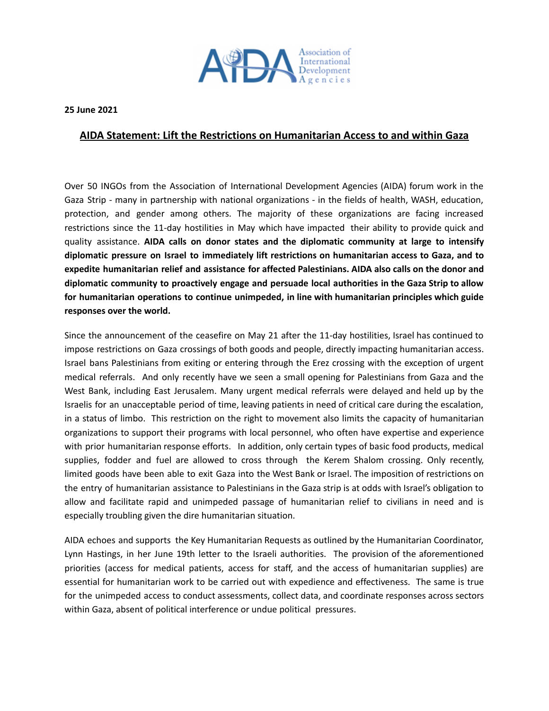

**25 June 2021**

## **AIDA Statement: Lift the Restrictions on Humanitarian Access to and within Gaza**

Over 50 INGOs from the Association of International Development Agencies (AIDA) forum work in the Gaza Strip - many in partnership with national organizations - in the fields of health, WASH, education, protection, and gender among others. The majority of these organizations are facing increased restrictions since the 11-day hostilities in May which have impacted their ability to provide quick and quality assistance. **AIDA calls on donor states and the diplomatic community at large to intensify diplomatic pressure on Israel to immediately lift restrictions on humanitarian access to Gaza, and to expedite humanitarian relief and assistance for affected Palestinians. AIDA also calls on the donor and diplomatic community to proactively engage and persuade local authorities in the Gaza Strip to allow for humanitarian operations to continue unimpeded, in line with humanitarian principles which guide responses over the world.**

Since the announcement of the ceasefire on May 21 after the 11-day hostilities, Israel has continued to impose restrictions on Gaza crossings of both goods and people, directly impacting humanitarian access. Israel bans Palestinians from exiting or entering through the Erez crossing with the exception of urgent medical referrals. And only recently have we seen a small opening for Palestinians from Gaza and the West Bank, including East Jerusalem. Many urgent medical referrals were delayed and held up by the Israelis for an unacceptable period of time, leaving patients in need of critical care during the escalation, in a status of limbo. This restriction on the right to movement also limits the capacity of humanitarian organizations to support their programs with local personnel, who often have expertise and experience with prior humanitarian response efforts. In addition, only certain types of basic food products, medical supplies, fodder and fuel are allowed to cross through the Kerem Shalom crossing. Only recently, limited goods have been able to exit Gaza into the West Bank or Israel. The imposition of restrictions on the entry of humanitarian assistance to Palestinians in the Gaza strip is at odds with Israel's obligation to allow and facilitate rapid and unimpeded passage of humanitarian relief to civilians in need and is especially troubling given the dire humanitarian situation.

AIDA echoes and supports the Key Humanitarian Requests as outlined by the Humanitarian Coordinator, Lynn Hastings, in her June 19th letter to the Israeli authorities. The provision of the aforementioned priorities (access for medical patients, access for staff, and the access of humanitarian supplies) are essential for humanitarian work to be carried out with expedience and effectiveness. The same is true for the unimpeded access to conduct assessments, collect data, and coordinate responses across sectors within Gaza, absent of political interference or undue political pressures.